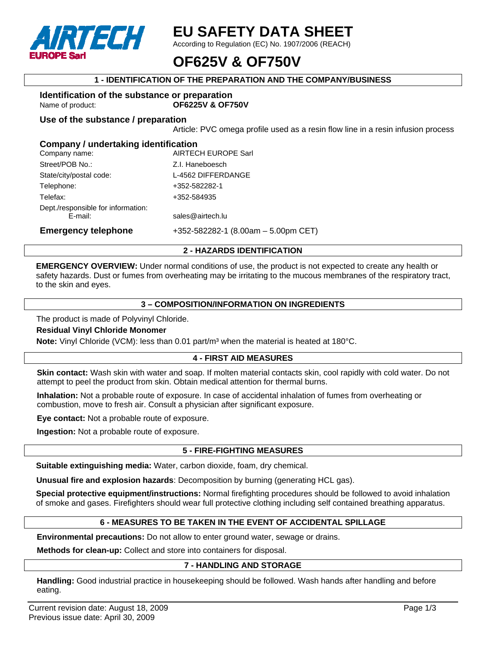

## **EU SAFETY DATA SHEET**

According to Regulation (EC) No. 1907/2006 (REACH)

## **OF625V & OF750V**

## **1 - IDENTIFICATION OF THE PREPARATION AND THE COMPANY/BUSINESS**

#### **Identification of the substance or preparation**  Name of product: **OF6225V & OF750V**

**Use of the substance / preparation** 

Article: PVC omega profile used as a resin flow line in a resin infusion process

## **Company / undertaking identification**

| Company name:                      | <b>AIRTECH EUROPE Sarl</b>            |
|------------------------------------|---------------------------------------|
| Street/POB No.:                    | Z.I. Haneboesch                       |
| State/city/postal code:            | L-4562 DIFFERDANGE                    |
| Telephone:                         | +352-582282-1                         |
| Telefax:                           | +352-584935                           |
| Dept./responsible for information: |                                       |
| E-mail:                            | sales@airtech.lu                      |
| <b>Emergency telephone</b>         | $+352-582282-1$ (8.00am - 5.00pm CET) |

## **2 - HAZARDS IDENTIFICATION**

**EMERGENCY OVERVIEW:** Under normal conditions of use, the product is not expected to create any health or safety hazards. Dust or fumes from overheating may be irritating to the mucous membranes of the respiratory tract, to the skin and eyes.

### **3 – COMPOSITION/INFORMATION ON INGREDIENTS**

The product is made of Polyvinyl Chloride.

#### **Residual Vinyl Chloride Monomer**

**Note:** Vinyl Chloride (VCM): less than 0.01 part/m<sup>3</sup> when the material is heated at 180°C.

## **4 - FIRST AID MEASURES**

**Skin contact:** Wash skin with water and soap. If molten material contacts skin, cool rapidly with cold water. Do not attempt to peel the product from skin. Obtain medical attention for thermal burns.

**Inhalation:** Not a probable route of exposure. In case of accidental inhalation of fumes from overheating or combustion, move to fresh air. Consult a physician after significant exposure.

**Eye contact:** Not a probable route of exposure.

**Ingestion:** Not a probable route of exposure.

## **5 - FIRE-FIGHTING MEASURES**

**Suitable extinguishing media:** Water, carbon dioxide, foam, dry chemical.

**Unusual fire and explosion hazards**: Decomposition by burning (generating HCL gas).

**Special protective equipment/instructions:** Normal firefighting procedures should be followed to avoid inhalation of smoke and gases. Firefighters should wear full protective clothing including self contained breathing apparatus.

## **6 - MEASURES TO BE TAKEN IN THE EVENT OF ACCIDENTAL SPILLAGE**

**Environmental precautions:** Do not allow to enter ground water, sewage or drains.

**Methods for clean-up:** Collect and store into containers for disposal.

## **7 - HANDLING AND STORAGE**

**Handling:** Good industrial practice in housekeeping should be followed. Wash hands after handling and before eating.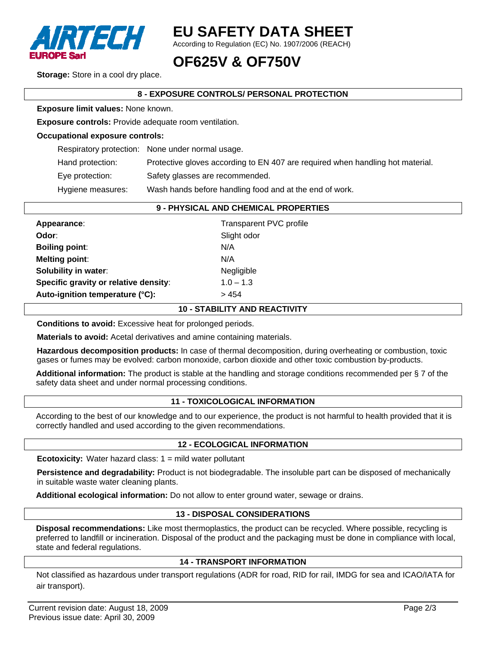

# **EU SAFETY DATA SHEET**

According to Regulation (EC) No. 1907/2006 (REACH)

## **OF625V & OF750V**

**Storage:** Store in a cool dry place.

## **8 - EXPOSURE CONTROLS/ PERSONAL PROTECTION**

**Exposure limit values:** None known.

**Exposure controls:** Provide adequate room ventilation.

#### **Occupational exposure controls:**

|                   | Respiratory protection: None under normal usage.                               |
|-------------------|--------------------------------------------------------------------------------|
| Hand protection:  | Protective gloves according to EN 407 are required when handling hot material. |
| Eye protection:   | Safety glasses are recommended.                                                |
| Hygiene measures: | Wash hands before handling food and at the end of work.                        |

### **9 - PHYSICAL AND CHEMICAL PROPERTIES**

| Appearance:                           | Transparent PVC profile |
|---------------------------------------|-------------------------|
| Odor:                                 | Slight odor             |
| <b>Boiling point:</b>                 | N/A                     |
| <b>Melting point:</b>                 | N/A                     |
| <b>Solubility in water:</b>           | Negligible              |
| Specific gravity or relative density: | $1.0 - 1.3$             |
| Auto-ignition temperature (°C):       | > 454                   |

#### **10 - STABILITY AND REACTIVITY**

**Conditions to avoid:** Excessive heat for prolonged periods.

**Materials to avoid:** Acetal derivatives and amine containing materials.

**Hazardous decomposition products:** In case of thermal decomposition, during overheating or combustion, toxic gases or fumes may be evolved: carbon monoxide, carbon dioxide and other toxic combustion by-products.

**Additional information:** The product is stable at the handling and storage conditions recommended per § 7 of the safety data sheet and under normal processing conditions.

## **11 - TOXICOLOGICAL INFORMATION**

According to the best of our knowledge and to our experience, the product is not harmful to health provided that it is correctly handled and used according to the given recommendations.

## **12 - ECOLOGICAL INFORMATION**

**Ecotoxicity:** Water hazard class: 1 = mild water pollutant

**Persistence and degradability:** Product is not biodegradable. The insoluble part can be disposed of mechanically in suitable waste water cleaning plants.

**Additional ecological information:** Do not allow to enter ground water, sewage or drains.

## **13 - DISPOSAL CONSIDERATIONS**

**Disposal recommendations:** Like most thermoplastics, the product can be recycled. Where possible, recycling is preferred to landfill or incineration. Disposal of the product and the packaging must be done in compliance with local, state and federal regulations.

## **14 - TRANSPORT INFORMATION**

Not classified as hazardous under transport regulations (ADR for road, RID for rail, IMDG for sea and ICAO/IATA for air transport).